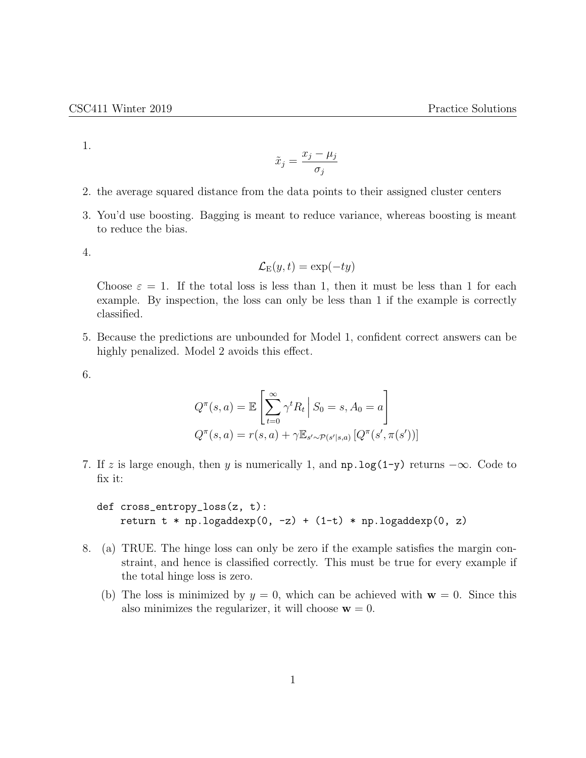1.

$$
\tilde{x}_j = \frac{x_j - \mu_j}{\sigma_j}
$$

- 2. the average squared distance from the data points to their assigned cluster centers
- 3. You'd use boosting. Bagging is meant to reduce variance, whereas boosting is meant to reduce the bias.

4.

$$
\mathcal{L}_E(y,t) = \exp(-ty)
$$

Choose  $\varepsilon = 1$ . If the total loss is less than 1, then it must be less than 1 for each example. By inspection, the loss can only be less than 1 if the example is correctly classified.

5. Because the predictions are unbounded for Model 1, confident correct answers can be highly penalized. Model 2 avoids this effect.

6.

$$
Q^{\pi}(s, a) = \mathbb{E}\left[\sum_{t=0}^{\infty} \gamma^t R_t \, \middle| \, S_0 = s, A_0 = a\right]
$$

$$
Q^{\pi}(s, a) = r(s, a) + \gamma \mathbb{E}_{s' \sim \mathcal{P}(s'|s, a)}\left[Q^{\pi}(s', \pi(s'))\right]
$$

7. If z is large enough, then y is numerically 1, and  $np.log(1-y)$  returns  $-\infty$ . Code to fix it:

def cross\_entropy\_loss(z, t): return  $t * np.logadder(p, -z) + (1-t) * np.logadder(p, z)$ 

- 8. (a) TRUE. The hinge loss can only be zero if the example satisfies the margin constraint, and hence is classified correctly. This must be true for every example if the total hinge loss is zero.
	- (b) The loss is minimized by  $y = 0$ , which can be achieved with  $w = 0$ . Since this also minimizes the regularizer, it will choose  $\mathbf{w} = 0$ .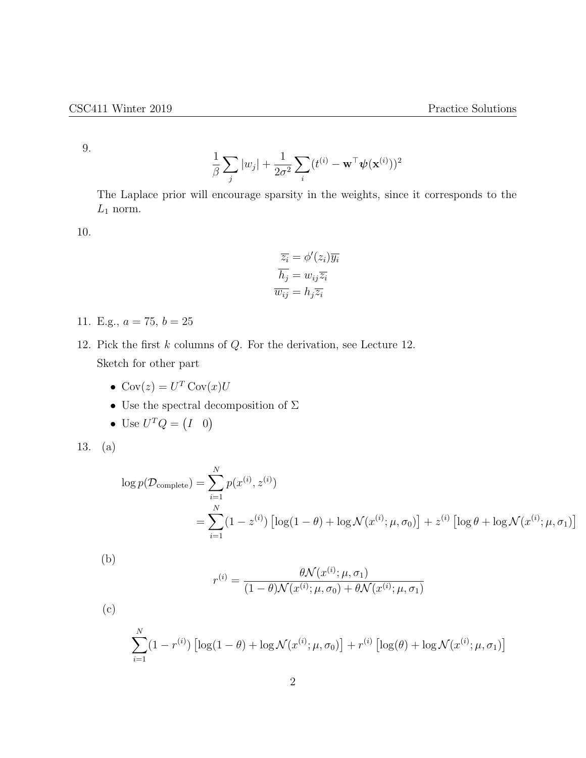9.

$$
\frac{1}{\beta}\sum_j |w_j| + \frac{1}{2\sigma^2}\sum_i (t^{(i)} - \mathbf{w}^\top \boldsymbol{\psi}(\mathbf{x}^{(i)}))^2
$$

The Laplace prior will encourage sparsity in the weights, since it corresponds to the  $L_1$  norm.

10.

$$
\overline{z_i} = \phi'(z_i)\overline{y_i}
$$

$$
\overline{h_j} = w_{ij}\overline{z_i}
$$

$$
\overline{w_{ij}} = h_j\overline{z_i}
$$

11. E.g.,  $a = 75$ ,  $b = 25$ 

- 12. Pick the first  $k$  columns of  $Q$ . For the derivation, see Lecture 12. Sketch for other part
	- $Cov(z) = U^T Cov(x)U$
	- $\bullet~$  Use the spectral decomposition of  $\Sigma$
	- Use  $U^T Q = (I \ 0)$

$$
13. (a)
$$

$$
\log p(\mathcal{D}_{\text{complete}}) = \sum_{i=1}^{N} p(x^{(i)}, z^{(i)})
$$
  
= 
$$
\sum_{i=1}^{N} (1 - z^{(i)}) \left[ \log(1 - \theta) + \log \mathcal{N}(x^{(i)}; \mu, \sigma_0) \right] + z^{(i)} \left[ \log \theta + \log \mathcal{N}(x^{(i)}; \mu, \sigma_1) \right]
$$

(b)

$$
r^{(i)} = \frac{\theta \mathcal{N}(x^{(i)}; \mu, \sigma_1)}{(1 - \theta)\mathcal{N}(x^{(i)}; \mu, \sigma_0) + \theta \mathcal{N}(x^{(i)}; \mu, \sigma_1)}
$$

(c)

$$
\sum_{i=1}^{N} (1 - r^{(i)}) \left[ \log(1 - \theta) + \log \mathcal{N}(x^{(i)}; \mu, \sigma_0) \right] + r^{(i)} \left[ \log(\theta) + \log \mathcal{N}(x^{(i)}; \mu, \sigma_1) \right]
$$